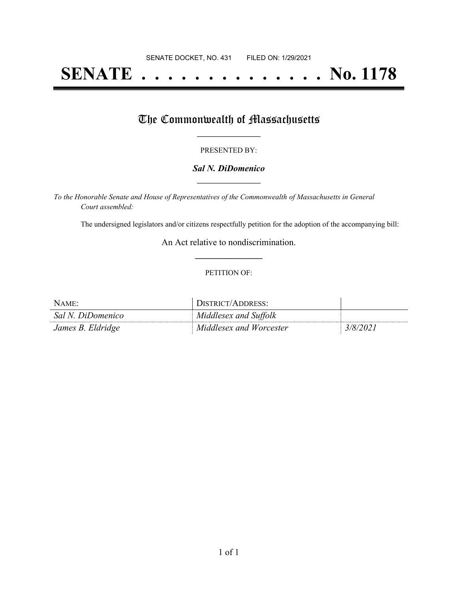# **SENATE . . . . . . . . . . . . . . No. 1178**

## The Commonwealth of Massachusetts

#### PRESENTED BY:

#### *Sal N. DiDomenico* **\_\_\_\_\_\_\_\_\_\_\_\_\_\_\_\_\_**

*To the Honorable Senate and House of Representatives of the Commonwealth of Massachusetts in General Court assembled:*

The undersigned legislators and/or citizens respectfully petition for the adoption of the accompanying bill:

An Act relative to nondiscrimination. **\_\_\_\_\_\_\_\_\_\_\_\_\_\_\_**

#### PETITION OF:

| NAME:             | DISTRICT/ADDRESS:       |          |
|-------------------|-------------------------|----------|
| Sal N. DiDomenico | Middlesex and Suffolk   |          |
| James B. Eldridge | Middlesex and Worcester | 3/8/2021 |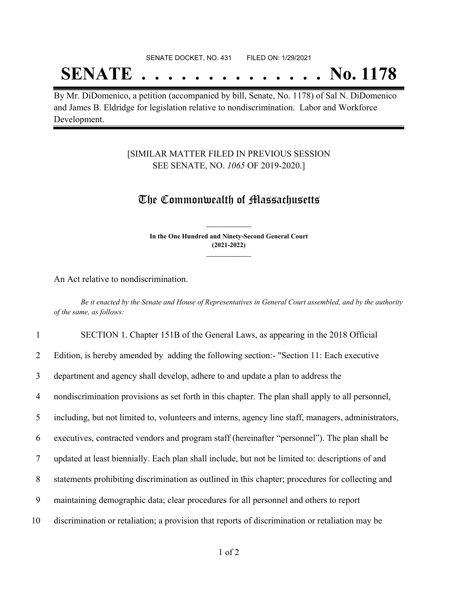#### SENATE DOCKET, NO. 431 FILED ON: 1/29/2021

## **SENATE . . . . . . . . . . . . . . No. 1178**

By Mr. DiDomenico, a petition (accompanied by bill, Senate, No. 1178) of Sal N. DiDomenico and James B. Eldridge for legislation relative to nondiscrimination. Labor and Workforce Development.

### [SIMILAR MATTER FILED IN PREVIOUS SESSION SEE SENATE, NO. *1065* OF 2019-2020.]

### The Commonwealth of Massachusetts

**In the One Hundred and Ninety-Second General Court (2021-2022) \_\_\_\_\_\_\_\_\_\_\_\_\_\_\_**

**\_\_\_\_\_\_\_\_\_\_\_\_\_\_\_**

An Act relative to nondiscrimination.

Be it enacted by the Senate and House of Representatives in General Court assembled, and by the authority *of the same, as follows:*

|                | SECTION 1. Chapter 151B of the General Laws, as appearing in the 2018 Official                      |
|----------------|-----------------------------------------------------------------------------------------------------|
| 2              | Edition, is hereby amended by adding the following section: "Section 11: Each executive             |
| 3              | department and agency shall develop, adhere to and update a plan to address the                     |
| $\overline{4}$ | nondiscrimination provisions as set forth in this chapter. The plan shall apply to all personnel,   |
| 5              | including, but not limited to, volunteers and interns, agency line staff, managers, administrators, |
| 6              | executives, contracted vendors and program staff (hereinafter "personnel"). The plan shall be       |
| $\tau$         | updated at least biennially. Each plan shall include, but not be limited to: descriptions of and    |
| 8              | statements prohibiting discrimination as outlined in this chapter; procedures for collecting and    |
| 9              | maintaining demographic data; clear procedures for all personnel and others to report               |
| 10             | discrimination or retaliation; a provision that reports of discrimination or retaliation may be     |